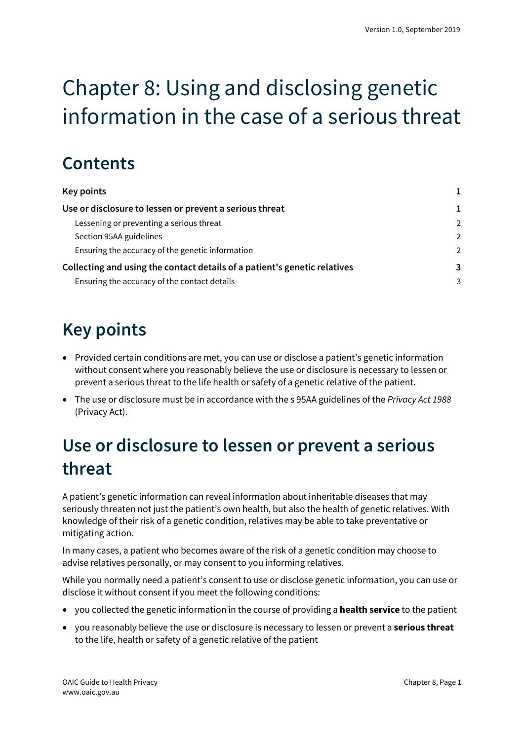# Chapter 8: Using and disclosing genetic information in the case of a serious threat

### **Contents**

| <b>Key points</b>                                                         |               |
|---------------------------------------------------------------------------|---------------|
| Use or disclosure to lessen or prevent a serious threat                   |               |
| Lessening or preventing a serious threat                                  | $\mathcal{P}$ |
| Section 95AA guidelines                                                   | $\mathcal{L}$ |
| Ensuring the accuracy of the genetic information                          | $\mathcal{P}$ |
| Collecting and using the contact details of a patient's genetic relatives | 3             |
| Ensuring the accuracy of the contact details                              | 3             |

## <span id="page-0-0"></span>**Key points**

- Provided certain conditions are met, you can use or disclose a patient's genetic information without consent where you reasonably believe the use or disclosure is necessary to lessen or prevent a serious threat to the life health or safety of a genetic relative of the patient.
- The use or disclosure must be in accordance with the s 95AA guidelines of the *Privacy Act 1988* (Privacy Act).

### <span id="page-0-1"></span>**Use or disclosure to lessen or prevent a serious threat**

A patient's genetic information can reveal information about inheritable diseases that may seriously threaten not just the patient's own health, but also the health of genetic relatives. With knowledge of their risk of a genetic condition, relatives may be able to take preventative or mitigating action.

In many cases, a patient who becomes aware of the risk of a genetic condition may choose to advise relatives personally, or may consent to you informing relatives.

While you normally need a patient's consent to use or disclose genetic information, you can use or disclose it without consent if you meet the following conditions:

- yo[u collected](http://www.oaic.gov.au/privacy/applying-privacy-law/app-guidelines/chapter-b-key-concepts#_Toc380575603) the genetic information in the course of providing a **health service** to the patient
- yo[u reasonably believe](http://www.oaic.gov.au/privacy/applying-privacy-law/app-guidelines/chapter-b-key-concepts#_Toc380575629) the use or disclosure i[s necessary](http://www.oaic.gov.au/privacy/applying-privacy-law/app-guidelines/chapter-b-key-concepts#_Toc380575630) to lessen or prevent a **serious threat** to the life, health or safety of a genetic relative of the patient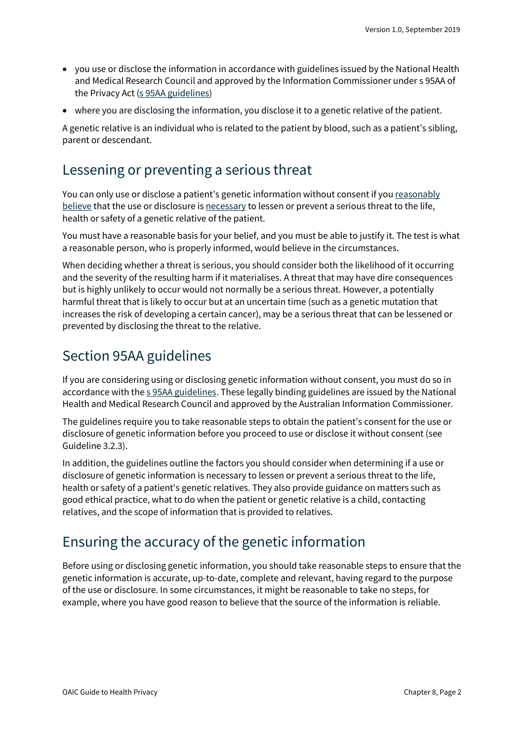- you use or disclose the information in accordance with guidelines issued by the National Health and Medical Research Council and approved by the Information Commissioner under s 95AA of the Privacy Act [\(s 95AA guidelines\)](https://www.legislation.gov.au/Series/F2014L00244)
- where you are disclosing the information, you disclose it to a genetic relative of the patient.

A genetic relative is an individual who is related to the patient by blood, such as a patient's sibling, parent or descendant.

#### <span id="page-1-0"></span>Lessening or preventing a serious threat

You can only use or disclose a patient's genetic information without consent if yo[u reasonably](https://www.oaic.gov.au/privacy/australian-privacy-principles-guidelines/chapter-b-key-concepts/#reasonably-believes)  [believe](https://www.oaic.gov.au/privacy/australian-privacy-principles-guidelines/chapter-b-key-concepts/#reasonably-believes) that the use or disclosure i[s necessary](https://www.oaic.gov.au/privacy/australian-privacy-principles-guidelines/chapter-b-key-concepts/#reasonably-necessary-and-necessary) to lessen or prevent a serious threat to the life, health or safety of a genetic relative of the patient.

You must have a reasonable basis for your belief, and you must be able to justify it. The test is what a reasonable person, who is properly informed, would believe in the circumstances.

When deciding whether a threat is serious, you should consider both the likelihood of it occurring and the severity of the resulting harm if it materialises. A threat that may have dire consequences but is highly unlikely to occur would not normally be a serious threat. However, a potentially harmful threat that is likely to occur but at an uncertain time (such as a genetic mutation that increases the risk of developing a certain cancer), may be a serious threat that can be lessened or prevented by disclosing the threat to the relative.

#### <span id="page-1-1"></span>Section 95AA guidelines

If you are considering using or disclosing genetic information without consent, you must do so in accordance with th[e s 95AA guidelines.](https://www.legislation.gov.au/Series/F2014L00244) These legally binding guidelines are issued by the National Health and Medical Research Council and approved by the Australian Information Commissioner.

The guidelines require you to take reasonable steps to obtain the patient's consent for the use or disclosure of genetic information before you proceed to use or disclose it without consent (see Guideline 3.2.3).

In addition, the guidelines outline the factors you should consider when determining if a use or disclosure of genetic information is necessary to lessen or prevent a serious threat to the life, health or safety of a patient's genetic relatives. They also provide guidance on matters such as good ethical practice, what to do when the patient or genetic relative is a child, contacting relatives, and the scope of information that is provided to relatives.

### <span id="page-1-2"></span>Ensuring the accuracy of the genetic information

Before using or disclosing genetic information, you should take reasonable steps to ensure that the genetic information is accurate, up-to-date, complete and relevant, having regard to the purpose of the use or disclosure. In some circumstances, it might be reasonable to take no steps, for example, where you have good reason to believe that the source of the information is reliable.